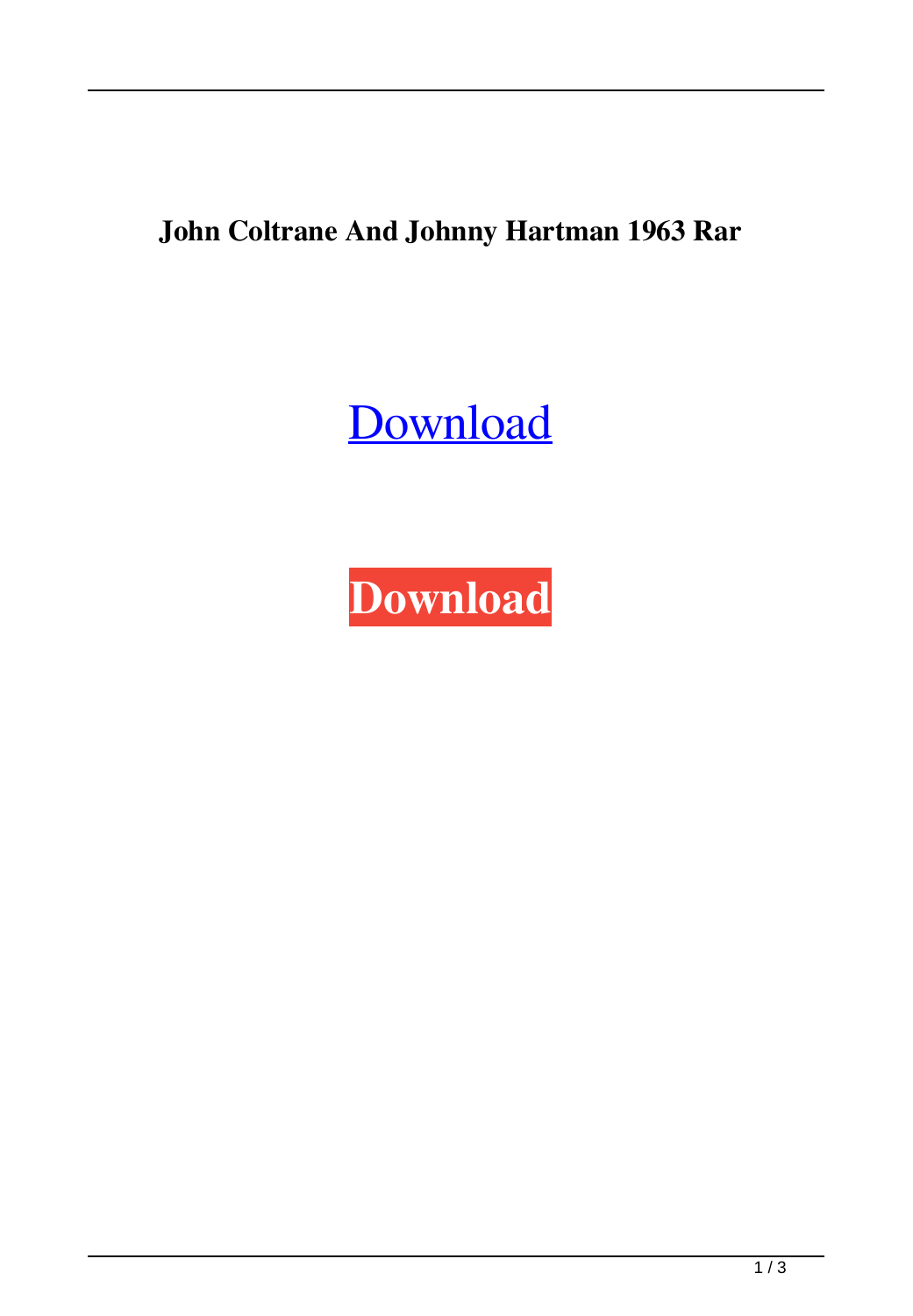## **John Coltrane And Johnny Hartman 1963 Rar**

## [Download](http://evacdir.com/beltran/osteopaths/ZG93bmxvYWR8M3NuTW5odWFYeDhNVFkxTWpjME1EZzJObng4TWpVM05IeDhLRTBwSUhKbFlXUXRZbXh2WnlCYlJtRnpkQ0JIUlU1ZA.Sm9obiBDb2x0cmFuZSBBbmQgSm9obm55IEhhcnRtYW4gMTk2MyBSYXISm9/carree=picturegear=sandy.trich.sapping)

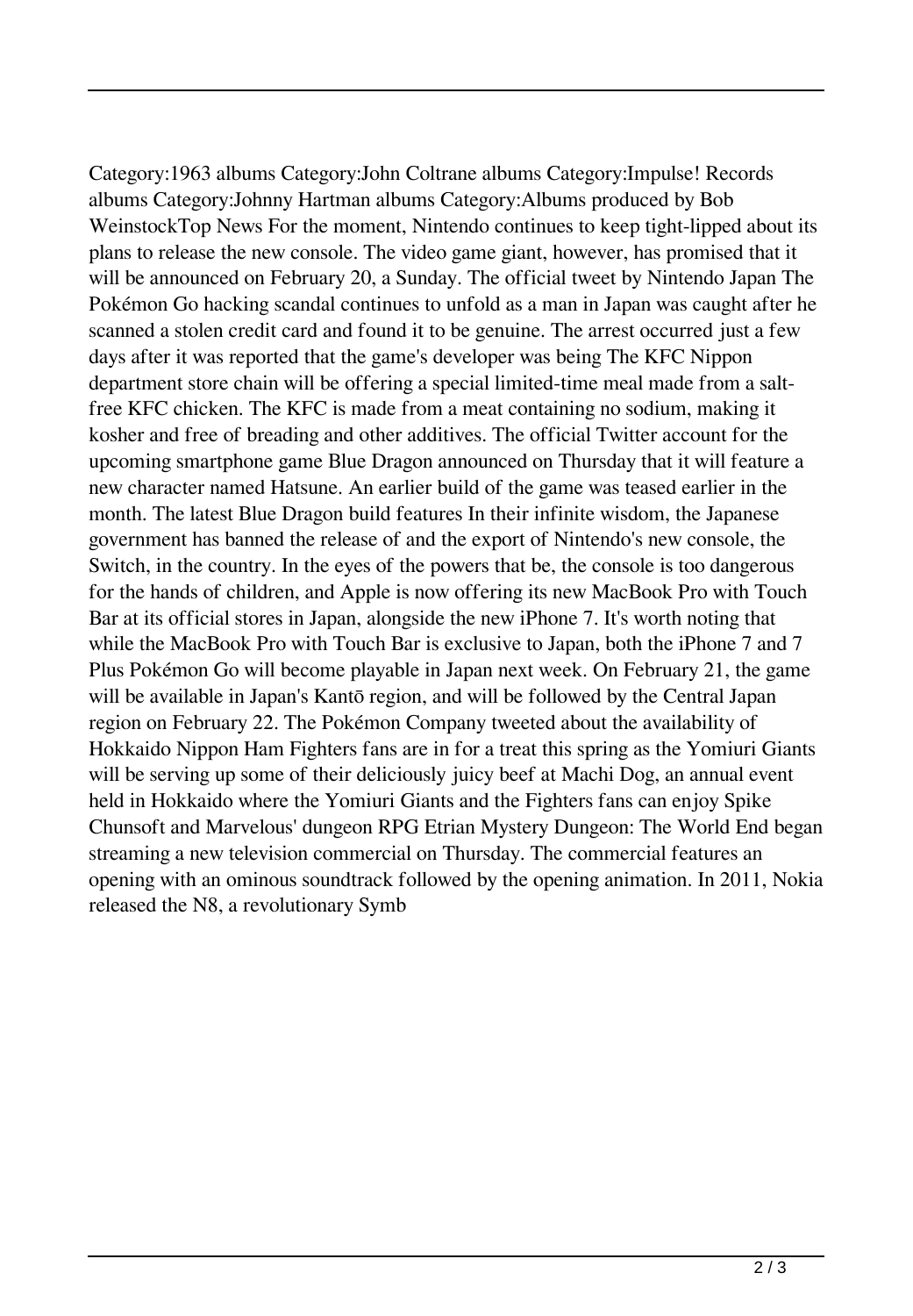Category:1963 albums Category:John Coltrane albums Category:Impulse! Records albums Category:Johnny Hartman albums Category:Albums produced by Bob WeinstockTop News For the moment, Nintendo continues to keep tight-lipped about its plans to release the new console. The video game giant, however, has promised that it will be announced on February 20, a Sunday. The official tweet by Nintendo Japan The Pokémon Go hacking scandal continues to unfold as a man in Japan was caught after he scanned a stolen credit card and found it to be genuine. The arrest occurred just a few days after it was reported that the game's developer was being The KFC Nippon department store chain will be offering a special limited-time meal made from a saltfree KFC chicken. The KFC is made from a meat containing no sodium, making it kosher and free of breading and other additives. The official Twitter account for the upcoming smartphone game Blue Dragon announced on Thursday that it will feature a new character named Hatsune. An earlier build of the game was teased earlier in the month. The latest Blue Dragon build features In their infinite wisdom, the Japanese government has banned the release of and the export of Nintendo's new console, the Switch, in the country. In the eyes of the powers that be, the console is too dangerous for the hands of children, and Apple is now offering its new MacBook Pro with Touch Bar at its official stores in Japan, alongside the new iPhone 7. It's worth noting that while the MacBook Pro with Touch Bar is exclusive to Japan, both the iPhone 7 and 7 Plus Pokémon Go will become playable in Japan next week. On February 21, the game will be available in Japan's Kantō region, and will be followed by the Central Japan region on February 22. The Pokémon Company tweeted about the availability of Hokkaido Nippon Ham Fighters fans are in for a treat this spring as the Yomiuri Giants will be serving up some of their deliciously juicy beef at Machi Dog, an annual event held in Hokkaido where the Yomiuri Giants and the Fighters fans can enjoy Spike Chunsoft and Marvelous' dungeon RPG Etrian Mystery Dungeon: The World End began streaming a new television commercial on Thursday. The commercial features an opening with an ominous soundtrack followed by the opening animation. In 2011, Nokia released the N8, a revolutionary Symb